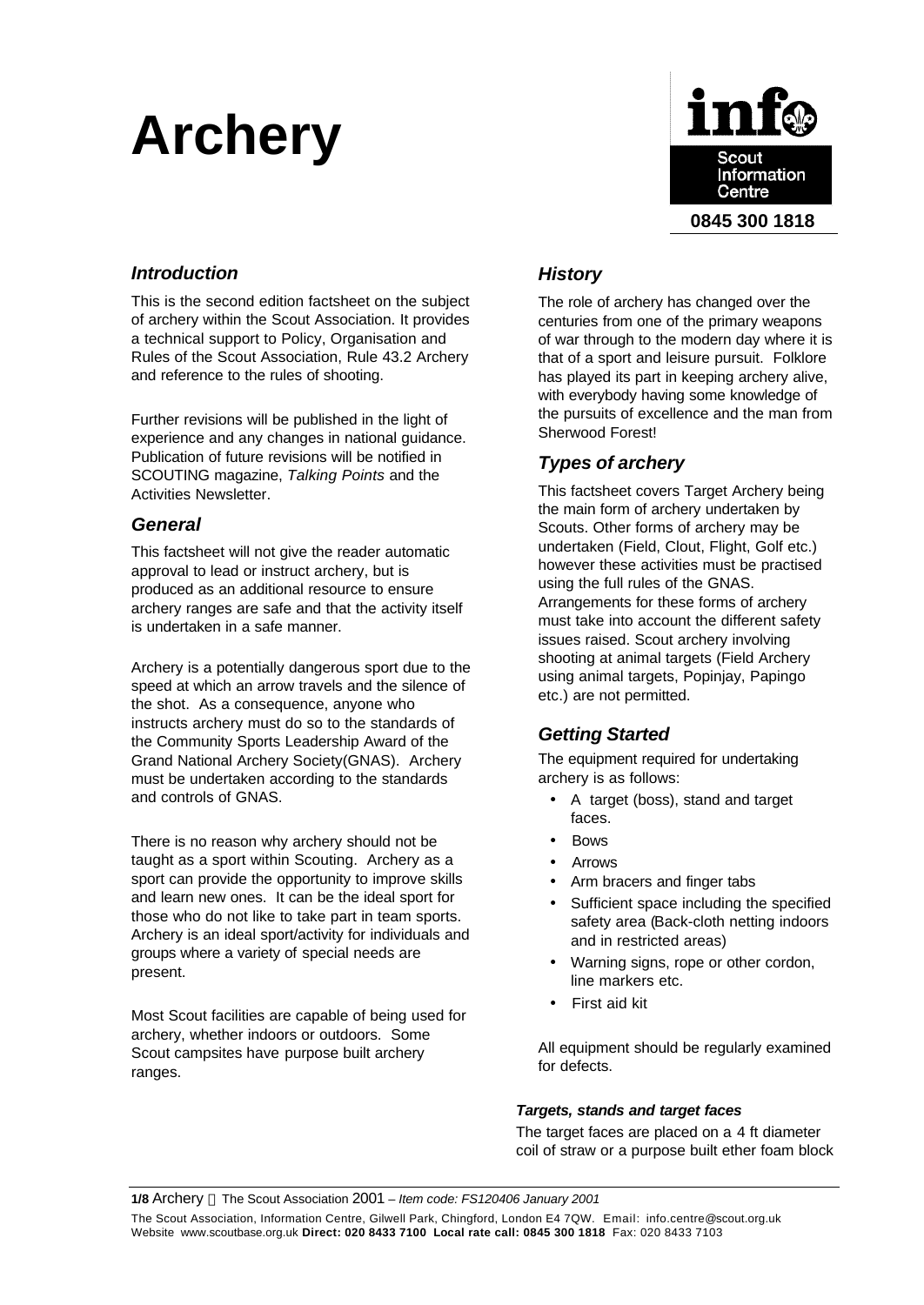# **Archery**



# *Introduction*

This is the second edition factsheet on the subject of archery within the Scout Association. It provides a technical support to Policy, Organisation and Rules of the Scout Association, Rule 43.2 Archery and reference to the rules of shooting.

Further revisions will be published in the light of experience and any changes in national guidance. Publication of future revisions will be notified in SCOUTING magazine, *Talking Points* and the Activities Newsletter.

# *General*

This factsheet will not give the reader automatic approval to lead or instruct archery, but is produced as an additional resource to ensure archery ranges are safe and that the activity itself is undertaken in a safe manner.

Archery is a potentially dangerous sport due to the speed at which an arrow travels and the silence of the shot. As a consequence, anyone who instructs archery must do so to the standards of the Community Sports Leadership Award of the Grand National Archery Society(GNAS). Archery must be undertaken according to the standards and controls of GNAS.

There is no reason why archery should not be taught as a sport within Scouting. Archery as a sport can provide the opportunity to improve skills and learn new ones. It can be the ideal sport for those who do not like to take part in team sports. Archery is an ideal sport/activity for individuals and groups where a variety of special needs are present.

Most Scout facilities are capable of being used for archery, whether indoors or outdoors. Some Scout campsites have purpose built archery ranges.

# *History*

The role of archery has changed over the centuries from one of the primary weapons of war through to the modern day where it is that of a sport and leisure pursuit. Folklore has played its part in keeping archery alive, with everybody having some knowledge of the pursuits of excellence and the man from Sherwood Forest!

# *Types of archery*

This factsheet covers Target Archery being the main form of archery undertaken by Scouts. Other forms of archery may be undertaken (Field, Clout, Flight, Golf etc.) however these activities must be practised using the full rules of the GNAS. Arrangements for these forms of archery must take into account the different safety issues raised. Scout archery involving shooting at animal targets (Field Archery using animal targets, Popinjay, Papingo etc.) are not permitted.

# *Getting Started*

The equipment required for undertaking archery is as follows:

- A target (boss), stand and target faces.
- Bows
- Arrows
- Arm bracers and finger tabs
- Sufficient space including the specified safety area (Back-cloth netting indoors and in restricted areas)
- Warning signs, rope or other cordon, line markers etc.
- First aid kit

All equipment should be regularly examined for defects.

## *Targets, stands and target faces*

The target faces are placed on a 4 ft diameter coil of straw or a purpose built ether foam block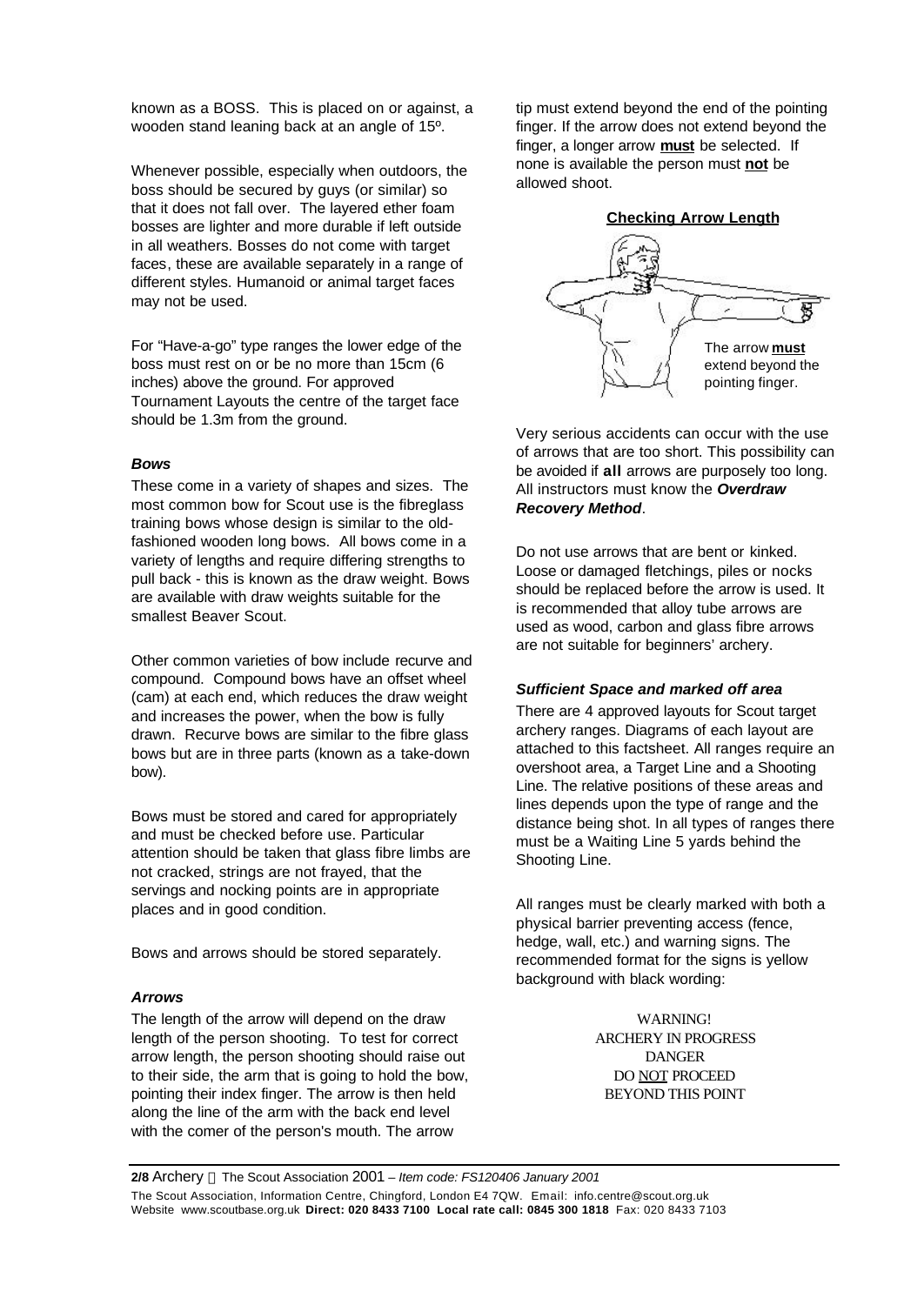known as a BOSS. This is placed on or against, a wooden stand leaning back at an angle of 15º.

Whenever possible, especially when outdoors, the boss should be secured by guys (or similar) so that it does not fall over. The layered ether foam bosses are lighter and more durable if left outside in all weathers. Bosses do not come with target faces, these are available separately in a range of different styles. Humanoid or animal target faces may not be used.

For "Have-a-go" type ranges the lower edge of the boss must rest on or be no more than 15cm (6 inches) above the ground. For approved Tournament Layouts the centre of the target face should be 1.3m from the ground.

#### *Bows*

These come in a variety of shapes and sizes. The most common bow for Scout use is the fibreglass training bows whose design is similar to the oldfashioned wooden long bows. All bows come in a variety of lengths and require differing strengths to pull back - this is known as the draw weight. Bows are available with draw weights suitable for the smallest Beaver Scout.

Other common varieties of bow include recurve and compound. Compound bows have an offset wheel (cam) at each end, which reduces the draw weight and increases the power, when the bow is fully drawn. Recurve bows are similar to the fibre glass bows but are in three parts (known as a take-down bow).

Bows must be stored and cared for appropriately and must be checked before use. Particular attention should be taken that glass fibre limbs are not cracked, strings are not frayed, that the servings and nocking points are in appropriate places and in good condition.

Bows and arrows should be stored separately.

#### *Arrows*

The length of the arrow will depend on the draw length of the person shooting. To test for correct arrow length, the person shooting should raise out to their side, the arm that is going to hold the bow, pointing their index finger. The arrow is then held along the line of the arm with the back end level with the comer of the person's mouth. The arrow

tip must extend beyond the end of the pointing finger. If the arrow does not extend beyond the finger, a longer arrow **must** be selected. If none is available the person must **not** be allowed shoot.



Very serious accidents can occur with the use of arrows that are too short. This possibility can be avoided if **all** arrows are purposely too long. All instructors must know the *Overdraw Recovery Method*.

Do not use arrows that are bent or kinked. Loose or damaged fletchings, piles or nocks should be replaced before the arrow is used. It is recommended that alloy tube arrows are used as wood, carbon and glass fibre arrows are not suitable for beginners' archery.

#### *Sufficient Space and marked off area*

There are 4 approved layouts for Scout target archery ranges. Diagrams of each layout are attached to this factsheet. All ranges require an overshoot area, a Target Line and a Shooting Line. The relative positions of these areas and lines depends upon the type of range and the distance being shot. In all types of ranges there must be a Waiting Line 5 yards behind the Shooting Line.

All ranges must be clearly marked with both a physical barrier preventing access (fence, hedge, wall, etc.) and warning signs. The recommended format for the signs is yellow background with black wording:

> **WARNING!** ARCHERY IN PROGRESS DANGER DO NOT PROCEED BEYOND THIS POINT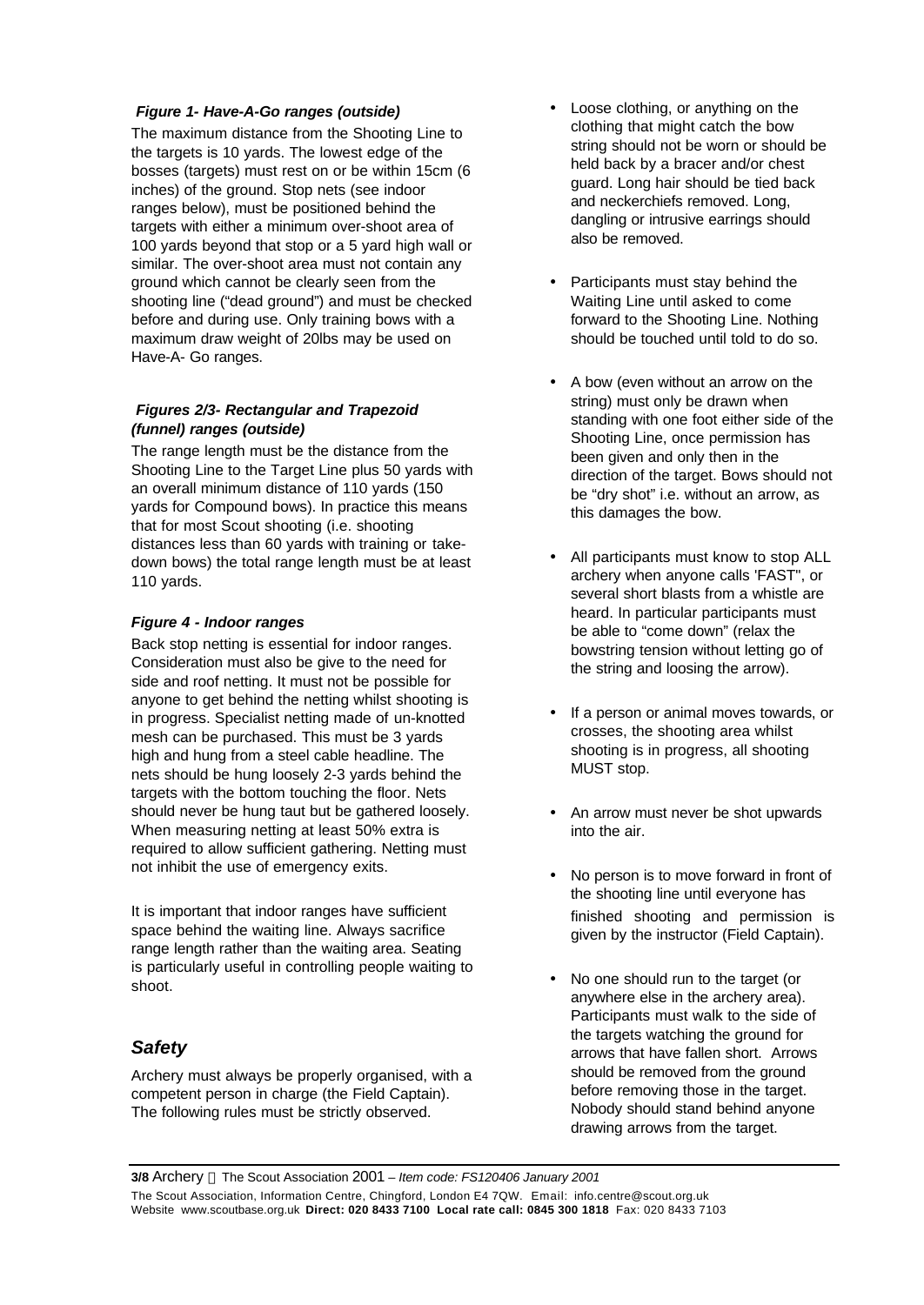### *Figure 1- Have-A-Go ranges (outside)*

The maximum distance from the Shooting Line to the targets is 10 yards. The lowest edge of the bosses (targets) must rest on or be within 15cm (6 inches) of the ground. Stop nets (see indoor ranges below), must be positioned behind the targets with either a minimum over-shoot area of 100 yards beyond that stop or a 5 yard high wall or similar. The over-shoot area must not contain any ground which cannot be clearly seen from the shooting line ("dead ground") and must be checked before and during use. Only training bows with a maximum draw weight of 20lbs may be used on Have-A- Go ranges.

### *Figures 2/3- Rectangular and Trapezoid (funnel) ranges (outside)*

The range length must be the distance from the Shooting Line to the Target Line plus 50 yards with an overall minimum distance of 110 yards (150 yards for Compound bows). In practice this means that for most Scout shooting (i.e. shooting distances less than 60 yards with training or takedown bows) the total range length must be at least 110 yards.

#### *Figure 4 - Indoor ranges*

Back stop netting is essential for indoor ranges. Consideration must also be give to the need for side and roof netting. It must not be possible for anyone to get behind the netting whilst shooting is in progress. Specialist netting made of un-knotted mesh can be purchased. This must be 3 yards high and hung from a steel cable headline. The nets should be hung loosely 2-3 yards behind the targets with the bottom touching the floor. Nets should never be hung taut but be gathered loosely. When measuring netting at least 50% extra is required to allow sufficient gathering. Netting must not inhibit the use of emergency exits.

It is important that indoor ranges have sufficient space behind the waiting line. Always sacrifice range length rather than the waiting area. Seating is particularly useful in controlling people waiting to shoot.

# *Safety*

Archery must always be properly organised, with a competent person in charge (the Field Captain). The following rules must be strictly observed.

- Loose clothing, or anything on the clothing that might catch the bow string should not be worn or should be held back by a bracer and/or chest guard. Long hair should be tied back and neckerchiefs removed. Long, dangling or intrusive earrings should also be removed.
- Participants must stay behind the Waiting Line until asked to come forward to the Shooting Line. Nothing should be touched until told to do so.
- A bow (even without an arrow on the string) must only be drawn when standing with one foot either side of the Shooting Line, once permission has been given and only then in the direction of the target. Bows should not be "dry shot" i.e. without an arrow, as this damages the bow.
- All participants must know to stop ALL archery when anyone calls 'FAST", or several short blasts from a whistle are heard. In particular participants must be able to "come down" (relax the bowstring tension without letting go of the string and loosing the arrow).
- If a person or animal moves towards, or crosses, the shooting area whilst shooting is in progress, all shooting MUST stop.
- An arrow must never be shot upwards into the air.
- No person is to move forward in front of the shooting line until everyone has finished shooting and permission is given by the instructor (Field Captain).
- No one should run to the target (or anywhere else in the archery area). Participants must walk to the side of the targets watching the ground for arrows that have fallen short. Arrows should be removed from the ground before removing those in the target. Nobody should stand behind anyone drawing arrows from the target.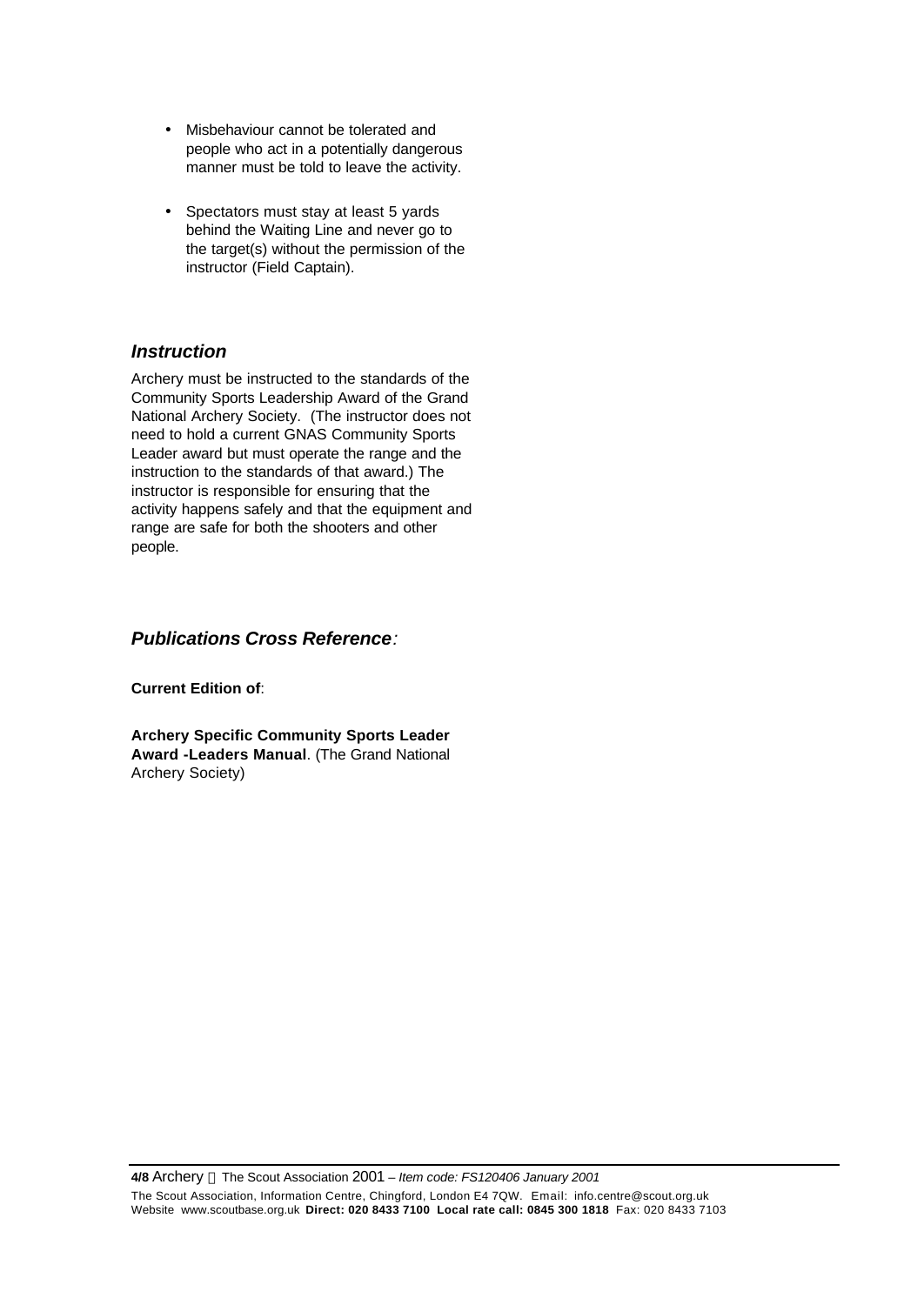- Misbehaviour cannot be tolerated and people who act in a potentially dangerous manner must be told to leave the activity.
- Spectators must stay at least 5 yards behind the Waiting Line and never go to the target(s) without the permission of the instructor (Field Captain).

# *Instruction*

Archery must be instructed to the standards of the Community Sports Leadership Award of the Grand National Archery Society. (The instructor does not need to hold a current GNAS Community Sports Leader award but must operate the range and the instruction to the standards of that award.) The instructor is responsible for ensuring that the activity happens safely and that the equipment and range are safe for both the shooters and other people.

# *Publications Cross Reference:*

**Current Edition of**:

**Archery Specific Community Sports Leader Award -Leaders Manual**. (The Grand National Archery Society)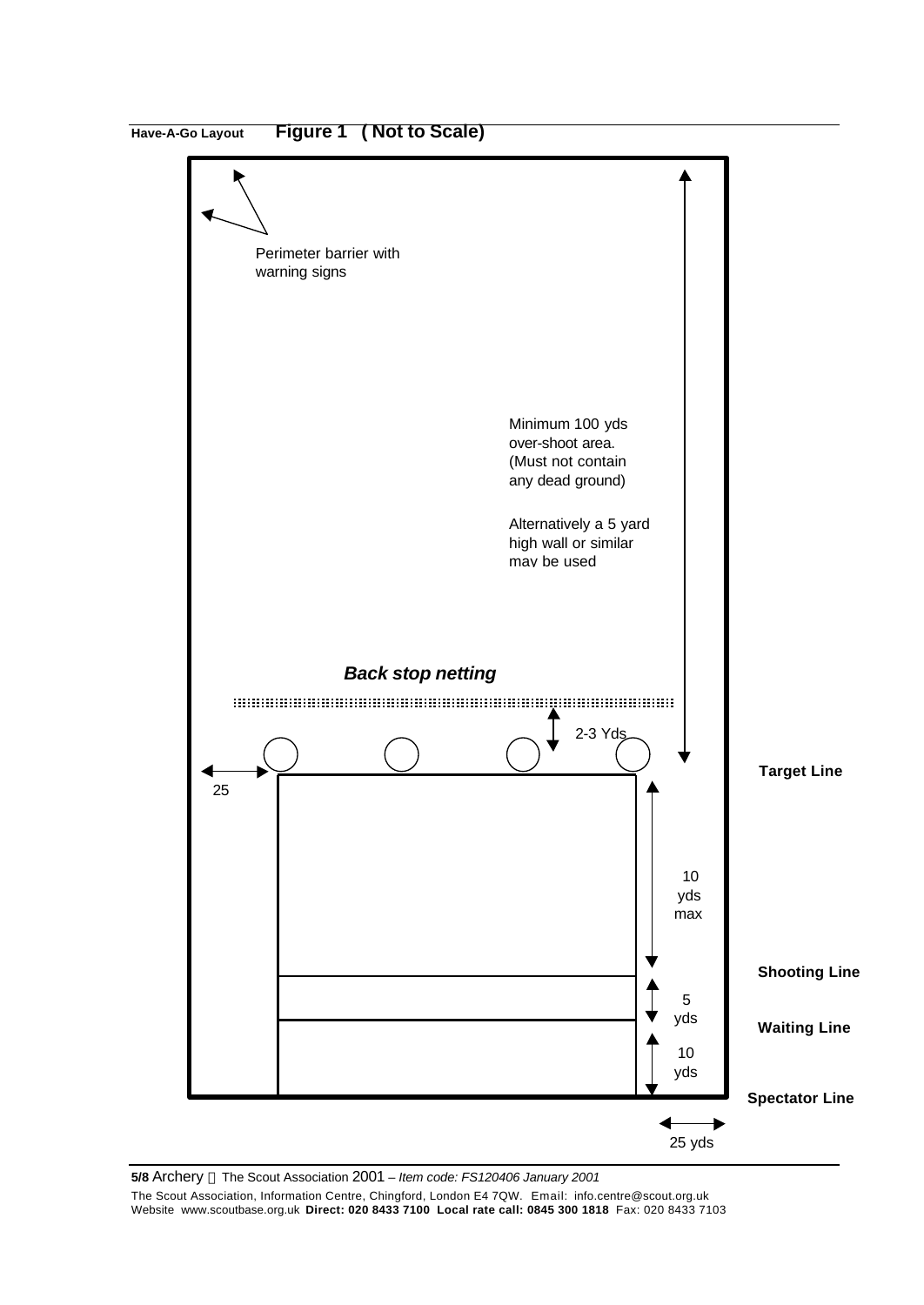

**5/8** Archery The Scout Association 2001 – *Item code: FS120406 January 2001* The Scout Association, Information Centre, Chingford, London E4 7QW. Email: info.centre@scout.org.uk

Website www.scoutbase.org.uk **Direct: 020 8433 7100 Local rate call: 0845 300 1818** Fax: 020 8433 7103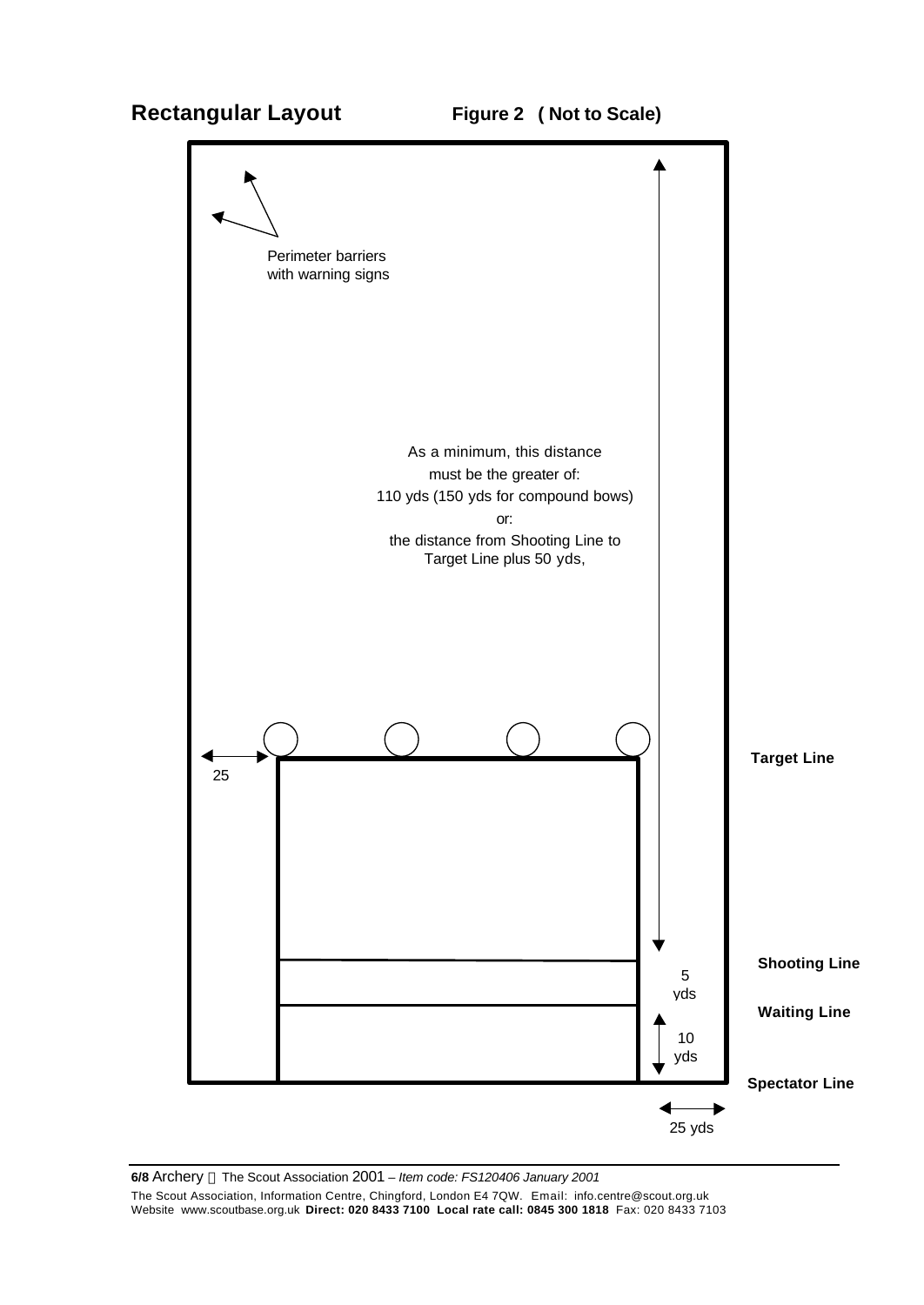# **Rectangular Layout Figure 2 ( Not to Scale)**

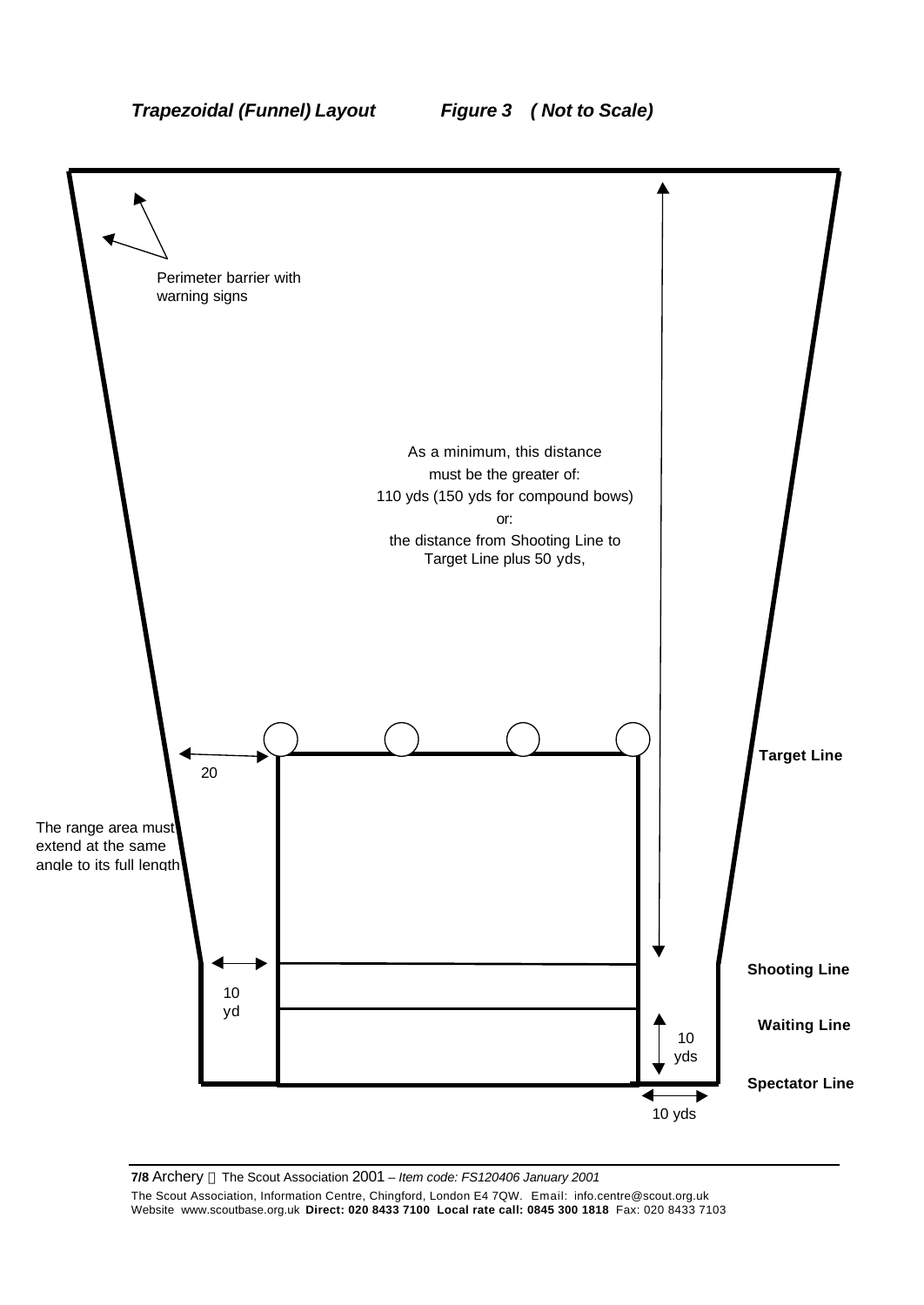